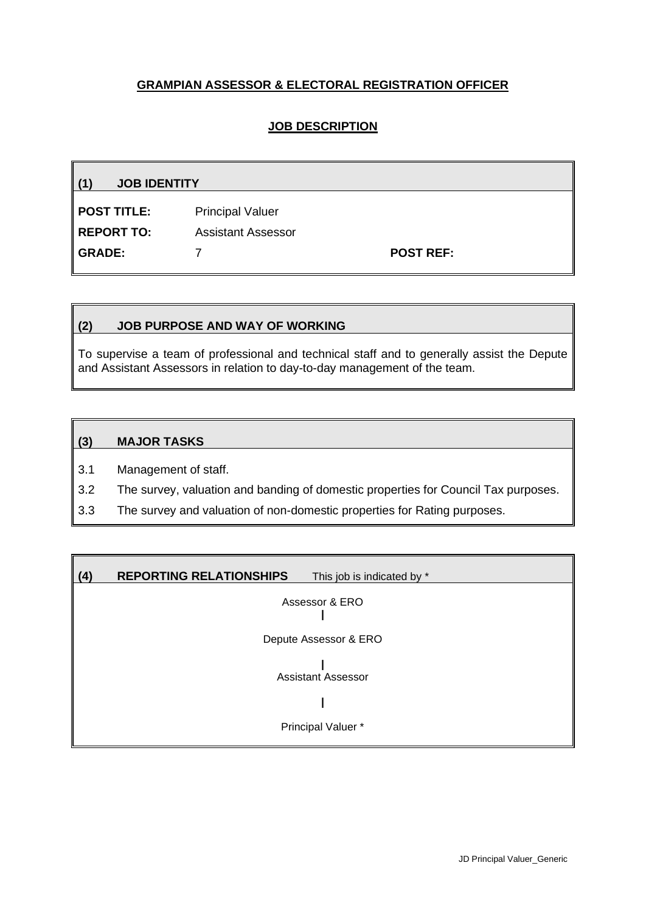# **GRAMPIAN ASSESSOR & ELECTORAL REGISTRATION OFFICER**

## **JOB DESCRIPTION**

**(1) JOB IDENTITY POST TITLE:** Principal Valuer **REPORT TO:** Assistant Assessor **GRADE:** 7 **POST REF:**

#### **(2) JOB PURPOSE AND WAY OF WORKING**

To supervise a team of professional and technical staff and to generally assist the Depute and Assistant Assessors in relation to day-to-day management of the team.

#### **(3) MAJOR TASKS**

3.1 Management of staff.

3.2 The survey, valuation and banding of domestic properties for Council Tax purposes.

3.3 The survey and valuation of non-domestic properties for Rating purposes.

| (4) | <b>REPORTING RELATIONSHIPS</b><br>This job is indicated by * |
|-----|--------------------------------------------------------------|
|     | Assessor & ERO                                               |
|     | Depute Assessor & ERO                                        |
|     | <b>Assistant Assessor</b>                                    |
|     |                                                              |
|     | Principal Valuer *                                           |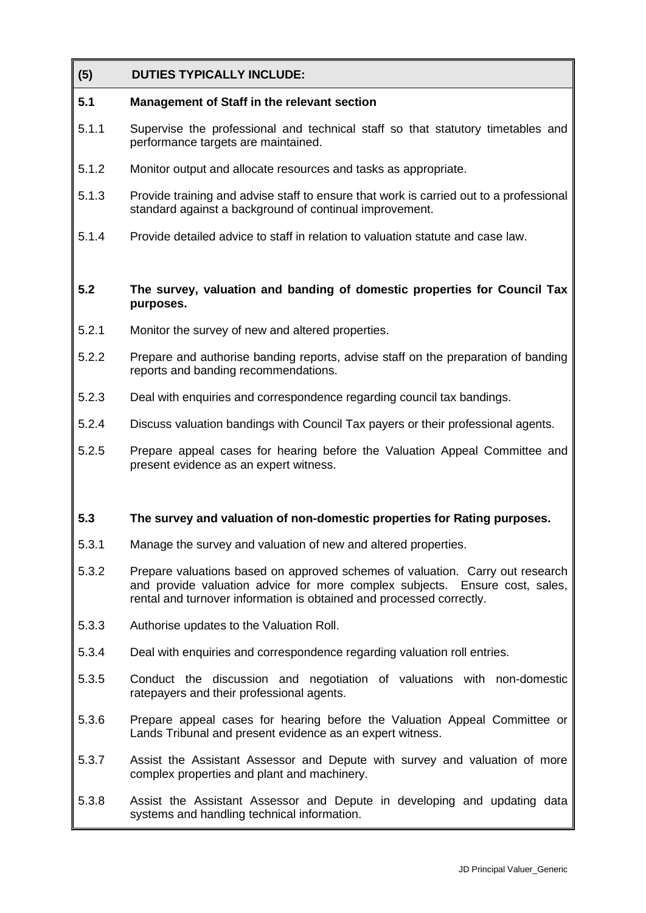## **(5) DUTIES TYPICALLY INCLUDE:**

## **5.1 Management of Staff in the relevant section**

- 5.1.1 Supervise the professional and technical staff so that statutory timetables and performance targets are maintained.
- 5.1.2 Monitor output and allocate resources and tasks as appropriate.
- 5.1.3 Provide training and advise staff to ensure that work is carried out to a professional standard against a background of continual improvement.
- 5.1.4 Provide detailed advice to staff in relation to valuation statute and case law.

#### **5.2 The survey, valuation and banding of domestic properties for Council Tax purposes.**

- 5.2.1 Monitor the survey of new and altered properties.
- 5.2.2 Prepare and authorise banding reports, advise staff on the preparation of banding reports and banding recommendations.
- 5.2.3 Deal with enquiries and correspondence regarding council tax bandings.
- 5.2.4 Discuss valuation bandings with Council Tax payers or their professional agents.
- 5.2.5 Prepare appeal cases for hearing before the Valuation Appeal Committee and present evidence as an expert witness.

### **5.3 The survey and valuation of non-domestic properties for Rating purposes.**

- 5.3.1 Manage the survey and valuation of new and altered properties.
- 5.3.2 Prepare valuations based on approved schemes of valuation. Carry out research and provide valuation advice for more complex subjects. Ensure cost, sales, rental and turnover information is obtained and processed correctly.
- 5.3.3 Authorise updates to the Valuation Roll.
- 5.3.4 Deal with enquiries and correspondence regarding valuation roll entries.
- 5.3.5 Conduct the discussion and negotiation of valuations with non-domestic ratepayers and their professional agents.
- 5.3.6 Prepare appeal cases for hearing before the Valuation Appeal Committee or Lands Tribunal and present evidence as an expert witness.
- 5.3.7 Assist the Assistant Assessor and Depute with survey and valuation of more complex properties and plant and machinery.
- 5.3.8 Assist the Assistant Assessor and Depute in developing and updating data systems and handling technical information.